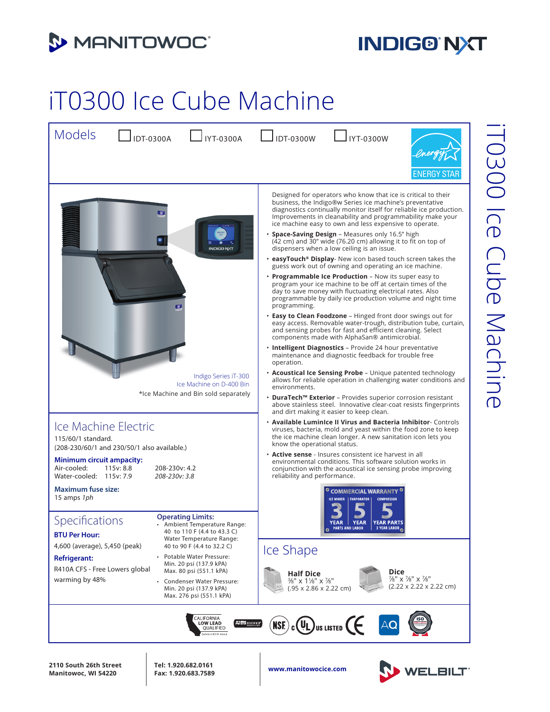

## **INDIG® NXT**

## iT0300 Ice Cube Machine



**www.manitowocice.com 2110 South 26th Street Manitowoc, WI 54220**

**Tel: 1.920.682.0161 Fax: 1.920.683.7589**